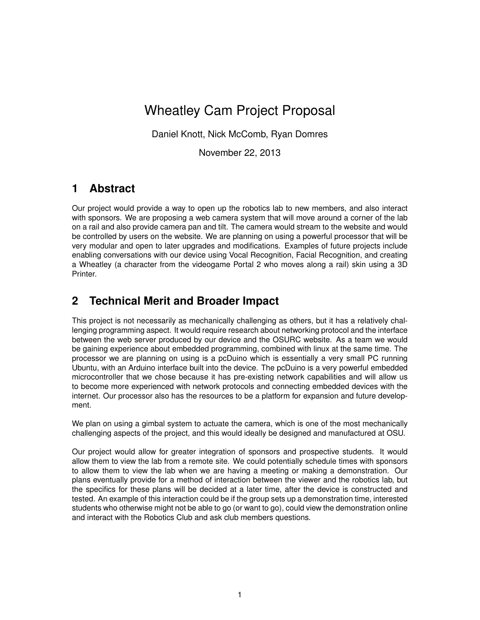# Wheatley Cam Project Proposal

Daniel Knott, Nick McComb, Ryan Domres

November 22, 2013

#### **1 Abstract**

Our project would provide a way to open up the robotics lab to new members, and also interact with sponsors. We are proposing a web camera system that will move around a corner of the lab on a rail and also provide camera pan and tilt. The camera would stream to the website and would be controlled by users on the website. We are planning on using a powerful processor that will be very modular and open to later upgrades and modifications. Examples of future projects include enabling conversations with our device using Vocal Recognition, Facial Recognition, and creating a Wheatley (a character from the videogame Portal 2 who moves along a rail) skin using a 3D Printer.

## **2 Technical Merit and Broader Impact**

This project is not necessarily as mechanically challenging as others, but it has a relatively challenging programming aspect. It would require research about networking protocol and the interface between the web server produced by our device and the OSURC website. As a team we would be gaining experience about embedded programming, combined with linux at the same time. The processor we are planning on using is a pcDuino which is essentially a very small PC running Ubuntu, with an Arduino interface built into the device. The pcDuino is a very powerful embedded microcontroller that we chose because it has pre-existing network capabilities and will allow us to become more experienced with network protocols and connecting embedded devices with the internet. Our processor also has the resources to be a platform for expansion and future development.

We plan on using a gimbal system to actuate the camera, which is one of the most mechanically challenging aspects of the project, and this would ideally be designed and manufactured at OSU.

Our project would allow for greater integration of sponsors and prospective students. It would allow them to view the lab from a remote site. We could potentially schedule times with sponsors to allow them to view the lab when we are having a meeting or making a demonstration. Our plans eventually provide for a method of interaction between the viewer and the robotics lab, but the specifics for these plans will be decided at a later time, after the device is constructed and tested. An example of this interaction could be if the group sets up a demonstration time, interested students who otherwise might not be able to go (or want to go), could view the demonstration online and interact with the Robotics Club and ask club members questions.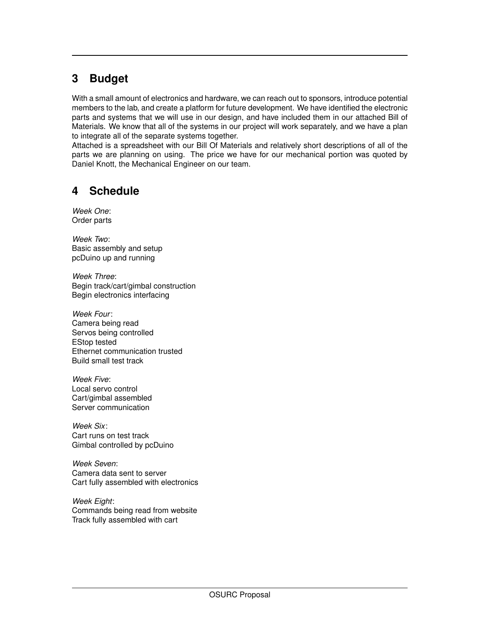# **3 Budget**

With a small amount of electronics and hardware, we can reach out to sponsors, introduce potential members to the lab, and create a platform for future development. We have identified the electronic parts and systems that we will use in our design, and have included them in our attached Bill of Materials. We know that all of the systems in our project will work separately, and we have a plan to integrate all of the separate systems together.

Attached is a spreadsheet with our Bill Of Materials and relatively short descriptions of all of the parts we are planning on using. The price we have for our mechanical portion was quoted by Daniel Knott, the Mechanical Engineer on our team.

### **4 Schedule**

*Week One*: Order parts

*Week Two*: Basic assembly and setup pcDuino up and running

*Week Three*: Begin track/cart/gimbal construction Begin electronics interfacing

*Week Four*: Camera being read Servos being controlled EStop tested Ethernet communication trusted Build small test track

*Week Five*: Local servo control Cart/gimbal assembled Server communication

*Week Six*: Cart runs on test track Gimbal controlled by pcDuino

*Week Seven*: Camera data sent to server Cart fully assembled with electronics

*Week Eight*: Commands being read from website Track fully assembled with cart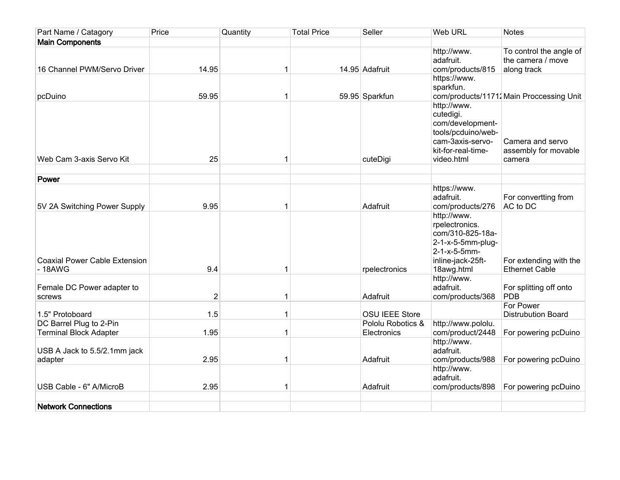| Part Name / Catagory                                     | Price | Quantity     | <b>Total Price</b> | Seller                           | <b>Web URL</b>                                                                                                             | <b>Notes</b>                                                |
|----------------------------------------------------------|-------|--------------|--------------------|----------------------------------|----------------------------------------------------------------------------------------------------------------------------|-------------------------------------------------------------|
| <b>Main Components</b>                                   |       |              |                    |                                  |                                                                                                                            |                                                             |
| 16 Channel PWM/Servo Driver                              | 14.95 | 1            |                    | 14.95 Adafruit                   | http://www.<br>adafruit.<br>com/products/815                                                                               | To control the angle of<br>the camera / move<br>along track |
| pcDuino                                                  | 59.95 | 1            |                    | 59.95 Sparkfun                   | https://www.<br>sparkfun.                                                                                                  | com/products/11712 Main Proccessing Unit                    |
| Web Cam 3-axis Servo Kit                                 | 25    | 1            |                    | cuteDigi                         | http://www.<br>cutedigi.<br>com/development-<br>tools/pcduino/web-<br>cam-3axis-servo-<br>kit-for-real-time-<br>video.html | Camera and servo<br>assembly for movable<br>camera          |
|                                                          |       |              |                    |                                  |                                                                                                                            |                                                             |
| Power                                                    |       |              |                    |                                  | https://www.                                                                                                               |                                                             |
| 5V 2A Switching Power Supply                             | 9.95  | 1            |                    | Adafruit                         | adafruit.<br>com/products/276                                                                                              | For convertting from<br>AC to DC                            |
| <b>Coaxial Power Cable Extension</b><br>$-18$ AWG        | 9.4   | 1            |                    | rpelectronics                    | http://www.<br>rpelectronics.<br>com/310-825-18a-<br>2-1-x-5-5mm-plug-<br>2-1-x-5-5mm-<br>inline-jack-25ft-<br>18awg.html  | For extending with the<br><b>Ethernet Cable</b>             |
| Female DC Power adapter to<br>screws                     | 2     | 1            |                    | Adafruit                         | http://www.<br>adafruit.<br>com/products/368                                                                               | For splitting off onto<br>PDB                               |
| 1.5" Protoboard                                          | 1.5   | $\mathbf{1}$ |                    | <b>OSU IEEE Store</b>            |                                                                                                                            | For Power<br><b>Distrubution Board</b>                      |
| DC Barrel Plug to 2-Pin<br><b>Terminal Block Adapter</b> | 1.95  | 1            |                    | Pololu Robotics &<br>Electronics | http://www.pololu.<br>com/product/2448                                                                                     | For powering pcDuino                                        |
| USB A Jack to 5.5/2.1mm jack<br>adapter                  | 2.95  | 1            |                    | Adafruit                         | http://www.<br>adafruit.<br>com/products/988                                                                               | For powering pcDuino                                        |
| USB Cable - 6" A/MicroB                                  | 2.95  | 1            |                    | Adafruit                         | http://www.<br>adafruit.<br>com/products/898                                                                               | For powering pcDuino                                        |
| <b>Network Connections</b>                               |       |              |                    |                                  |                                                                                                                            |                                                             |